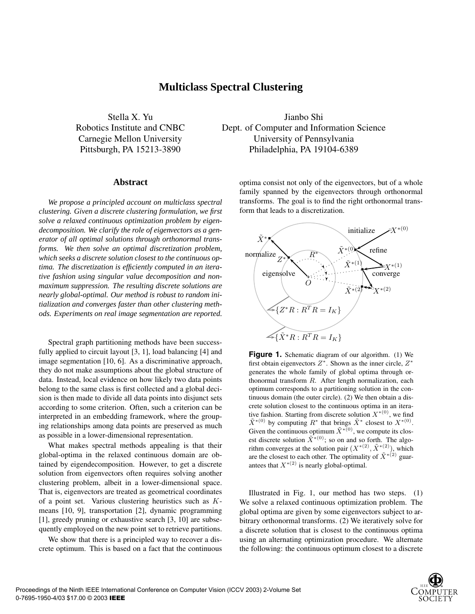# **Multiclass Spectral Clustering**

### **Abstract**

*We propose a principled account on multiclass spectral clustering. Given a discrete clustering formulation, we first solve a relaxed continuous optimization problem by eigendecomposition. We clarify the role of eigenvectors as a generator of all optimal solutions through orthonormal transforms. We then solve an optimal discretization problem, which seeks a discrete solution closest to the continuous optima. The discretization is efficiently computed in an iterative fashion using singular value decomposition and nonmaximum suppression. The resulting discrete solutions are nearly global-optimal. Our method is robust to random initialization and converges faster than other clustering methods. Experiments on real image segmentation are reported.*

Spectral graph partitioning methods have been successfully applied to circuit layout [3, 1], load balancing [4] and image segmentation [10, 6]. As a discriminative approach, they do not make assumptions about the global structure of data. Instead, local evidence on how likely two data points belong to the same class is first collected and a global decision is then made to divide all data points into disjunct sets according to some criterion. Often, such a criterion can be interpreted in an embedding framework, where the grouping relationships among data points are preserved as much as possible in a lower-dimensional representation.

What makes spectral methods appealing is that their global-optima in the relaxed continuous domain are obtained by eigendecomposition. However, to get a discrete solution from eigenvectors often requires solving another clustering problem, albeit in a lower-dimensional space. That is, eigenvectors are treated as geometrical coordinates of a point set. Various clustering heuristics such as Kmeans [10, 9], transportation [2], dynamic programming [1], greedy pruning or exhaustive search [3, 10] are subsequently employed on the new point set to retrieve partitions.

We show that there is a principled way to recover a discrete optimum. This is based on a fact that the continuous

Stella X. Yu Jianbo Shi Robotics Institute and CNBC Dept. of Computer and Information Science Carnegie Mellon University University of Pennsylvania Pittsburgh, PA 15213-3890 Philadelphia, PA 19104-6389

> optima consist not only of the eigenvectors, but of a whole family spanned by the eigenvectors through orthonormal transforms. The goal is to find the right orthonormal transform that leads to a discretization.



**Figure 1.** Schematic diagram of our algorithm. (1) We first obtain eigenvectors  $Z^*$ . Shown as the inner circle,  $Z^*$ generates the whole family of global optima through orthonormal transform R. After length normalization, each optimum corresponds to a partitioning solution in the continuous domain (the outer circle). (2) We then obtain a discrete solution closest to the continuous optima in an iterative fashion. Starting from discrete solution  $X^{*(0)}$ , we find  $\tilde{X}^{*(0)}$  by computing  $R^*$  that brings  $\tilde{X}^*$  closest to  $X^{*(0)}$ . Given the continuous optimum  $\tilde{X}^{*(0)}$ , we compute its closest discrete solution  $\tilde{X}^{*(0)}$ ; so on and so forth. The algorithm converges at the solution pair  $(X^{*(2)}, \tilde{X}^{*(2)})$ , which are the closest to each other. The optimality of  $\tilde{X}^{*(2)}$  guarantees that  $X^{*(2)}$  is nearly global-optimal.

Illustrated in Fig. 1, our method has two steps. (1) We solve a relaxed continuous optimization problem. The global optima are given by some eigenvectors subject to arbitrary orthonormal transforms. (2) We iteratively solve for a discrete solution that is closest to the continuous optima using an alternating optimization procedure. We alternate the following: the continuous optimum closest to a discrete

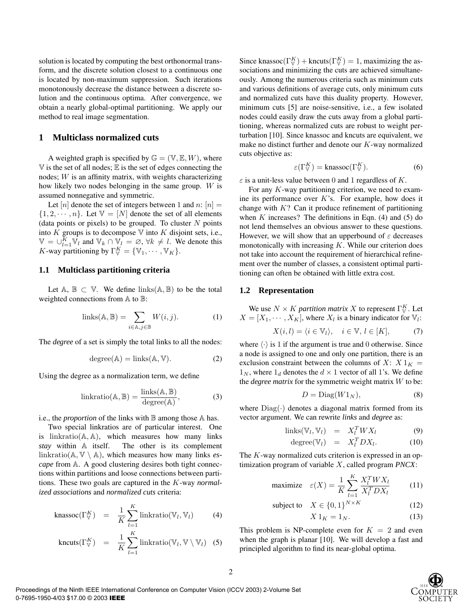solution is located by computing the best orthonormal transform, and the discrete solution closest to a continuous one is located by non-maximum suppression. Such iterations monotonously decrease the distance between a discrete solution and the continuous optima. After convergence, we obtain a nearly global-optimal partitioning. We apply our method to real image segmentation.

## **1 Multiclass normalized cuts**

A weighted graph is specified by  $\mathbb{G} = (\mathbb{V}, \mathbb{E}, W)$ , where  $V$  is the set of all nodes;  $E$  is the set of edges connecting the nodes; W is an affinity matrix, with weights characterizing how likely two nodes belonging in the same group. W is assumed nonnegative and symmetric.

Let [n] denote the set of integers between 1 and n:  $[n] =$  $\{1, 2, \dots, n\}$ . Let  $\mathbb{V} = [N]$  denote the set of all elements (data points or pixels) to be grouped. To cluster  $N$  points into  $K$  groups is to decompose  $\nabla$  into  $K$  disjoint sets, i.e.,  $\mathbb{V} = \bigcup_{l=1}^{K} \overline{\mathbb{V}}_l$  and  $\mathbb{V}_k \cap \overline{\mathbb{V}}_l = \emptyset$ ,  $\forall k \neq l$ . We denote this K-way partitioning by  $\Gamma_{\mathbb{V}}^K = {\mathbb{V}_1, \cdots, \mathbb{V}_K}.$ 

#### **1.1 Multiclass partitioning criteria**

Let  $A, B \subset V$ . We define links( $A, B$ ) to be the total weighted connections from A to B:

$$
links(A, B) = \sum_{i \in A, j \in B} W(i, j).
$$
 (1)

The *degree* of a set is simply the total links to all the nodes:

$$
degree(A) = links(A, V). \t(2)
$$

Using the degree as a normalization term, we define

$$
linkratio(\mathbb{A}, \mathbb{B}) = \frac{links(\mathbb{A}, \mathbb{B})}{degree(\mathbb{A})},
$$
\n(3)

i.e., the *proportion* of the links with  $\mathbb B$  among those  $\mathbb A$  has.

Two special linkratios are of particular interest. One is  $linkratio(A, A)$ , which measures how many links *stay* within A itself. The other is its complement linkratio( $\mathbb{A}, \mathbb{V} \setminus \mathbb{A}$ ), which measures how many links *escape* from A. A good clustering desires both tight connections within partitions and loose connections between partitions. These two goals are captured in the K-way *normalized associations* and *normalized cuts* criteria:

$$
\text{knassoc}(\Gamma_V^K) = \frac{1}{K} \sum_{l=1}^K \text{linkratio}(\mathbb{V}_l, \mathbb{V}_l) \tag{4}
$$

$$
kncuts(\Gamma_V^K) = \frac{1}{K} \sum_{l=1}^{K} linkratio(\mathbb{V}_l, \mathbb{V} \setminus \mathbb{V}_l) \quad (5)
$$

Since knassoc $(\Gamma_{\mathbb{V}}^K)$  + kncuts $(\Gamma_{\mathbb{V}}^K) = 1$ , maximizing the associations and minimizing the cuts are achieved simultaneously. Among the numerous criteria such as minimum cuts and various definitions of average cuts, only minimum cuts and normalized cuts have this duality property. However, minimum cuts [5] are noise-sensitive, i.e., a few isolated nodes could easily draw the cuts away from a global partitioning, whereas normalized cuts are robust to weight perturbation [10]. Since knassoc and kncuts are equivalent, we make no distinct further and denote our K-way normalized cuts objective as:

$$
\varepsilon(\Gamma_{\mathbb{V}}^K) = \text{knassoc}(\Gamma_{\mathbb{V}}^K). \tag{6}
$$

 $\varepsilon$  is a unit-less value between 0 and 1 regardless of K.

For any  $K$ -way partitioning criterion, we need to examine its performance over  $K$ 's. For example, how does it change with  $K$ ? Can it produce refinement of partitioning when  $K$  increases? The definitions in Eqn. (4) and (5) do not lend themselves an obvious answer to these questions. However, we will show that an upperbound of  $\varepsilon$  decreases monotonically with increasing  $K$ . While our criterion does not take into account the requirement of hierarchical refinement over the number of classes, a consistent optimal partitioning can often be obtained with little extra cost.

#### **1.2 Representation**

We use  $N \times K$  *partition matrix* X to represent  $\Gamma_{\mathbb{V}}^K$ . Let  $X = [X_1, \cdots, X_K]$ , where  $X_l$  is a binary indicator for  $\mathbb{V}_l$ :

$$
X(i,l) = \langle i \in \mathbb{V}_l \rangle, \quad i \in \mathbb{V}, \ l \in [K], \tag{7}
$$

where  $\langle \cdot \rangle$  is 1 if the argument is true and 0 otherwise. Since a node is assigned to one and only one partition, there is an exclusion constraint between the columns of X:  $X 1<sub>K</sub>$  =  $1_N$ , where  $1_d$  denotes the  $d \times 1$  vector of all 1's. We define the *degree matrix* for the symmetric weight matrix W to be:

$$
D = \text{Diag}(W1_N),\tag{8}
$$

where  $Diag(\cdot)$  denotes a diagonal matrix formed from its vector argument. We can rewrite *links* and *degree* as:

$$
links(\mathbb{V}_l, \mathbb{V}_l) = X_l^T W X_l \tag{9}
$$

$$
degree(\mathbb{V}_l) = X_l^T D X_l. \tag{10}
$$

The K-way normalized cuts criterion is expressed in an optimization program of variable X, called program *PNCX*:

maximize 
$$
\varepsilon(X) = \frac{1}{K} \sum_{l=1}^{K} \frac{X_l^T W X_l}{X_l^T D X_l}
$$
 (11)

subject to 
$$
X \in \{0, 1\}^{N \times K}
$$
 (12)

$$
X 1_K = 1_N. \tag{13}
$$

This problem is NP-complete even for  $K = 2$  and even when the graph is planar [10]. We will develop a fast and principled algorithm to find its near-global optima.

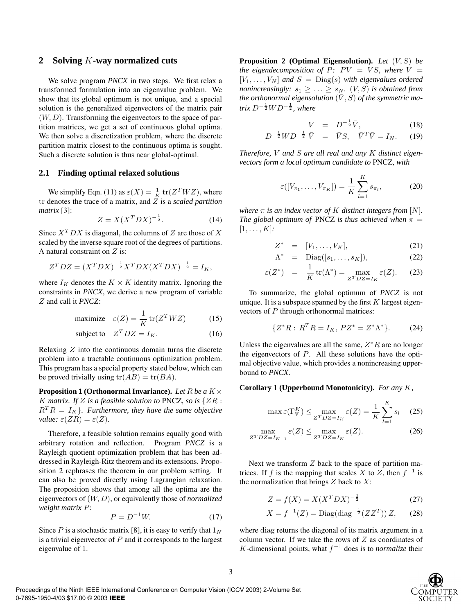## **2 Solving** *K***-way normalized cuts**

We solve program *PNCX* in two steps. We first relax a transformed formulation into an eigenvalue problem. We show that its global optimum is not unique, and a special solution is the generalized eigenvectors of the matrix pair  $(W, D)$ . Transforming the eigenvectors to the space of partition matrices, we get a set of continuous global optima. We then solve a discretization problem, where the discrete partition matrix closest to the continuous optima is sought. Such a discrete solution is thus near global-optimal.

#### **2.1 Finding optimal relaxed solutions**

We simplify Eqn. (11) as  $\varepsilon(X) = \frac{1}{K} \text{tr}(Z^T W Z)$ , where tr denotes the trace of a matrix, and  $\overline{Z}$  is a *scaled partition matrix* [3]:

$$
Z = X(X^TDX)^{-\frac{1}{2}}.\tag{14}
$$

Since  $X^TDX$  is diagonal, the columns of Z are those of X scaled by the inverse square root of the degrees of partitions. A natural constraint on  $Z$  is:

$$
Z^T D Z = (X^T D X)^{-\frac{1}{2}} X^T D X (X^T D X)^{-\frac{1}{2}} = I_K,
$$

where  $I_K$  denotes the  $K \times K$  identity matrix. Ignoring the constraints in *PNCX*, we derive a new program of variable Z and call it *PNCZ*:

$$
\text{maximize} \quad \varepsilon(Z) = \frac{1}{K} \operatorname{tr}(Z^T W Z) \tag{15}
$$

subject to 
$$
Z^T DZ = I_K
$$
. (16)

Relaxing  $Z$  into the continuous domain turns the discrete problem into a tractable continuous optimization problem. This program has a special property stated below, which can be proved trivially using  $tr(AB) = tr(BA)$ .

**Proposition 1 (Orthonormal Invariance).** *Let* R *be a* K× K matrix. If Z is a feasible solution to PNCZ, so is  $\{ZR:$  $R^T R = I_K$ *}. Furthermore, they have the same objective value:*  $\varepsilon(ZR) = \varepsilon(Z)$ *.* 

Therefore, a feasible solution remains equally good with arbitrary rotation and reflection. Program *PNCZ* is a Rayleigh quotient optimization problem that has been addressed in Rayleigh-Ritz theorem and its extensions. Proposition 2 rephrases the theorem in our problem setting. It can also be proved directly using Lagrangian relaxation. The proposition shows that among all the optima are the eigenvectors of (W, D), or equivalently those of *normalized weight matrix* P:

$$
P = D^{-1}W.\t\t(17)
$$

Since P is a stochastic matrix [8], it is easy to verify that  $1_N$ is a trivial eigenvector of  $P$  and it corresponds to the largest eigenvalue of 1.

**Proposition 2 (Optimal Eigensolution).** *Let* (V,S) *be the eigendecomposition of*  $P: PV = VS$ *, where*  $V =$  $[V_1, \ldots, V_N]$  and  $S = \text{Diag}(s)$  with eigenvalues ordered *nonincreasingly:*  $s_1 \geq \ldots \geq s_N$ *.*  $(V, S)$  *is obtained from the orthonormal eigensolution*  $(\bar{V}, S)$  *of the symmetric ma* $trix D^{-\frac{1}{2}}WD^{-\frac{1}{2}}$ , where

$$
V = D^{-\frac{1}{2}}\bar{V}, \qquad (18)
$$

$$
D^{-\frac{1}{2}}WD^{-\frac{1}{2}}\bar{V} = \bar{V}S, \quad \bar{V}^T\bar{V} = I_N. \tag{19}
$$

*Therefore,* V *and* S *are all real and any* K *distinct eigenvectors form a local optimum candidate to* PNCZ*, with*

$$
\varepsilon([V_{\pi_1}, \dots, V_{\pi_K}]) = \frac{1}{K} \sum_{l=1}^K s_{\pi_l},
$$
 (20)

*where*  $\pi$  *is an index vector of* K *distinct integers from* [N]. *The global optimum of PNCZ is thus achieved when*  $\pi$  =  $[1, \ldots, K]$ :

$$
Z^* = [V_1, \ldots, V_K], \qquad (21)
$$

$$
\Lambda^* = \text{Diag}([s_1, \dots, s_K]), \tag{22}
$$

$$
\varepsilon(Z^*) = \frac{1}{K} \operatorname{tr}(\Lambda^*) = \max_{Z^T D Z = I_K} \varepsilon(Z). \tag{23}
$$

To summarize, the global optimum of *PNCZ* is not unique. It is a subspace spanned by the first  $K$  largest eigenvectors of P through orthonormal matrices:

$$
\{Z^*R: R^T R = I_K, P Z^* = Z^* \Lambda^* \}.
$$
 (24)

Unless the eigenvalues are all the same,  $Z^*R$  are no longer the eigenvectors of  $P$ . All these solutions have the optimal objective value, which provides a nonincreasing upperbound to *PNCX*.

**Corollary 1 (Upperbound Monotonicity).** *For any* K*,*

$$
\max \varepsilon(\Gamma_{\mathbb{V}}^K) \le \max_{Z^T D Z = I_K} \varepsilon(Z) = \frac{1}{K} \sum_{l=1}^K s_l \quad (25)
$$

$$
\max_{Z^T D Z = I_{K+1}} \varepsilon(Z) \le \max_{Z^T D Z = I_K} \varepsilon(Z). \tag{26}
$$

Next we transform  $Z$  back to the space of partition matrices. If f is the mapping that scales X to Z, then  $f^{-1}$  is the normalization that brings  $Z$  back to  $X$ :

$$
Z = f(X) = X(X^T DX)^{-\frac{1}{2}}
$$
 (27)

$$
X = f^{-1}(Z) = \text{Diag}(\text{diag}^{-\frac{1}{2}}(ZZ^T)) Z, \qquad (28)
$$

where diag returns the diagonal of its matrix argument in a column vector. If we take the rows of  $Z$  as coordinates of K-dimensional points, what  $f^{-1}$  does is to *normalize* their

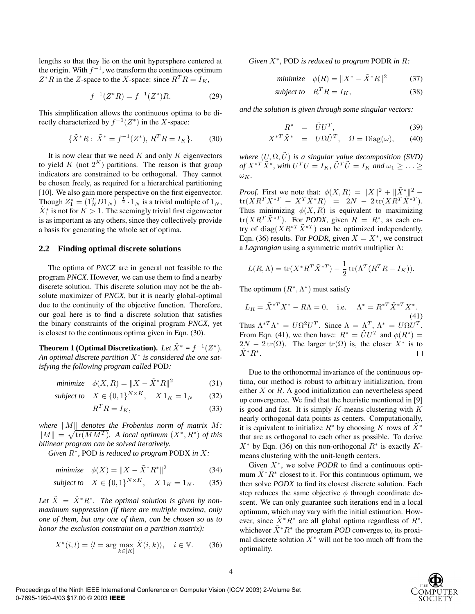lengths so that they lie on the unit hypersphere centered at the origin. With  $f^{-1}$ , we transform the continuous optimum  $Z^*R$  in the Z-space to the X-space: since  $R^TR = I_K$ ,

$$
f^{-1}(Z^*R) = f^{-1}(Z^*)R.
$$
 (29)

This simplification allows the continuous optima to be directly characterized by  $f^{-1}(Z^*)$  in the X-space:

$$
\{\tilde{X}^*R:\,\tilde{X}^* = f^{-1}(Z^*),\,R^T R = I_K\}.\tag{30}
$$

It is now clear that we need  $K$  and only  $K$  eigenvectors to yield K (not  $2^K$ ) partitions. The reason is that group indicators are constrained to be orthogonal. They cannot be chosen freely, as required for a hierarchical partitioning [10]. We also gain more perspective on the first eigenvector. Though  $Z_1^* = (1_N^T D 1_N)^{-\frac{1}{2}} \cdot 1_N$  is a trivial multiple of  $1_N$ ,  $\tilde{X}_1^*$  is not for  $K > 1$ . The seemingly trivial first eigenvector is as important as any others, since they collectively provide a basis for generating the whole set of optima.

#### **2.2 Finding optimal discrete solutions**

The optima of *PNCZ* are in general not feasible to the program *PNCX*. However, we can use them to find a nearby discrete solution. This discrete solution may not be the absolute maximizer of *PNCX*, but it is nearly global-optimal due to the continuity of the objective function. Therefore, our goal here is to find a discrete solution that satisfies the binary constraints of the original program *PNCX*, yet is closest to the continuous optima given in Eqn. (30).

**Theorem 1 (Optimal Discretization).** *Let*  $\tilde{X}^* = f^{-1}(Z^*)$ . *An optimal discrete partition* X<sup>∗</sup> *is considered the one satisfying the following program called* POD*:*

$$
minimize \quad \phi(X, R) = ||X - \tilde{X}^*R||^2 \tag{31}
$$

*subject to*  $X \in \{0, 1\}^{N \times K}$ ,  $X \mathbb{1}_K = \mathbb{1}_N$  (32)

$$
R^T R = I_K,\t\t(33)
$$

where  $||M||$  denotes the Frobenius norm of matrix  $M$ :  $\|M\| = \sqrt{\text{tr}(MM^T)}$ . A local optimum  $(X^*, R^*)$  of this *bilinear program can be solved iteratively.*

*Given* R∗*,* POD *is reduced to program* PODX *in* X*:*

$$
minimize \quad \phi(X) = \|X - \tilde{X}^* R^*\|^2 \tag{34}
$$

subject to 
$$
X \in \{0, 1\}^{N \times K}
$$
,  $X 1_K = 1_N$ . (35)

Let  $\tilde{X} = \tilde{X}^* R^*$ . The optimal solution is given by non*maximum suppression (if there are multiple maxima, only one of them, but any one of them, can be chosen so as to honor the exclusion constraint on a partition matrix):*

$$
X^*(i,l) = \langle l = \arg\max_{k \in [K]} \tilde{X}(i,k) \rangle, \quad i \in \mathbb{V}.
$$
 (36)

*Given* X∗*,* POD *is reduced to program* PODR *in* R*:*

$$
minimize \quad \phi(R) = \|X^* - \tilde{X}^*R\|^2 \tag{37}
$$

subject to 
$$
R^T R = I_K
$$
, (38)

*and the solution is given through some singular vectors:*

$$
R^* = \tilde{U}U^T, \tag{39}
$$

$$
X^{*T}\tilde{X}^* = U\Omega \tilde{U}^T, \quad \Omega = \text{Diag}(\omega), \qquad (40)
$$

*where*  $(U, \Omega, \tilde{U})$  *is a singular value decomposition (SVD) of*  $X^{*T} \tilde{X}^*$ , with  $U^T U = I_K$ ,  $\tilde{U}^T \tilde{U} = I_K$  and  $\omega_1 \geq \ldots \geq$  $\omega_K$ .

*Proof.* First we note that:  $\phi(X, R) = ||X||^2 + ||\tilde{X}^*||^2$  –  ${\rm tr}(X R^T \tilde{X}^{*T} \ + \ X^T \tilde{X}^* R) \ \ \ = \ \ 2N \ - \ 2 \, {\rm tr}(X R^T \tilde{X}^{*T} ) .$ Thus minimizing  $\phi(X, R)$  is equivalent to maximizing  $tr(XR^T\tilde{X}^{*T})$ . For *PODX*, given  $R = R^*$ , as each entry of diag( $(XR^{*T}\tilde{X}^{*T})$  can be optimized independently, Eqn. (36) results. For *PODR*, given  $X = X^*$ , we construct a *Lagrangian* using a symmetric matrix multiplier Λ:

$$
L(R,\Lambda) = \text{tr}(X^*R^T\tilde{X}^{*T}) - \frac{1}{2}\text{tr}(\Lambda^T(R^TR - I_K)).
$$

The optimum  $(R^*, \Lambda^*)$  must satisfy

$$
L_R = \tilde{X}^{*T} X^* - R\Lambda = 0, \quad \text{i.e.} \quad \Lambda^* = R^{*T} \tilde{X}^{*T} X^*.
$$
\nThus  $\Lambda^{*T} \Lambda^* = U \Omega^2 U^T$ . Since  $\Lambda = \Lambda^T$ ,  $\Lambda^* = U \Omega U^T$ .

\nFrom Eqn. (41), we then have:  $R^* = \tilde{U} U^T$  and  $\phi(R^*) = 2N - 2 \text{tr}(\Omega)$ . The larger  $\text{tr}(\Omega)$  is, the closer  $X^*$  is to  $\tilde{X}^* R^*$ .

Due to the orthonormal invariance of the continuous optima, our method is robust to arbitrary initialization, from either  $X$  or  $R$ . A good initialization can nevertheless speed up convergence. We find that the heuristic mentioned in [9] is good and fast. It is simply  $K$ -means clustering with  $K$ nearly orthogonal data points as centers. Computationally, it is equivalent to initialize  $R^*$  by choosing K rows of  $\tilde{X}^*$ that are as orthogonal to each other as possible. To derive  $X^*$  by Eqn. (36) on this non-orthogonal  $R^*$  is exactly Kmeans clustering with the unit-length centers.

Given X∗, we solve *PODR* to find a continuous optimum  $X^*R^*$  closest to it. For this continuous optimum, we then solve *PODX* to find its closest discrete solution. Each step reduces the same objective  $\phi$  through coordinate descent. We can only guarantee such iterations end in a local optimum, which may vary with the initial estimation. However, since  $\tilde{X}^*R^*$  are all global optima regardless of  $R^*$ , whichever  $\tilde{X}^*R^*$  the program *POD* converges to, its proximal discrete solution  $X^*$  will not be too much off from the optimality.



 $\Box$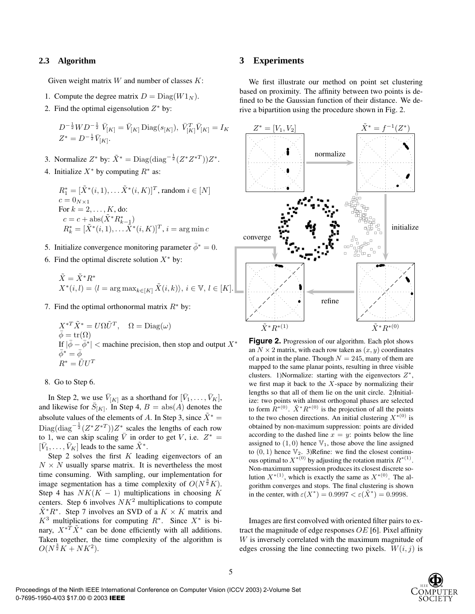# **2.3 Algorithm**

Given weight matrix  $W$  and number of classes  $K$ :

- 1. Compute the degree matrix  $D = Diag(W1_N)$ .
- 2. Find the optimal eigensolution  $Z^*$  by:

$$
D^{-\frac{1}{2}}WD^{-\frac{1}{2}}\bar{V}_{[K]} = \bar{V}_{[K]}\text{Diag}(s_{[K]}), \ \bar{V}_{[K]}^T\bar{V}_{[K]} = I_K
$$
  

$$
Z^* = D^{-\frac{1}{2}}\bar{V}_{[K]}.
$$

- 3. Normalize  $Z^*$  by:  $\tilde{X}^* = \text{Diag}(\text{diag}^{-\frac{1}{2}}(Z^*Z^{*T}))Z^*$ .
- 4. Initialize  $X^*$  by computing  $R^*$  as:

 $R_1^* = [\tilde{X}^*(i,1), \ldots \tilde{X}^*(i,K)]^T$ , random  $i \in [N]$  $c = 0_{N\times1}$ For  $k = 2, \ldots, K$ , do:  $c = c + abs(\tilde{X}^* R_{k-1}^*) \ R_k^* = [\tilde{X}^*(i, 1), \dots \tilde{X}^*(i, K)]^T, i = arg min c$ 

- 5. Initialize convergence monitoring parameter  $\bar{\phi}^* = 0$ .
- 6. Find the optimal discrete solution  $X^*$  by:

$$
\tilde{X} = \tilde{X}^* R^* X^*(i, l) = \langle l = \arg \max_{k \in [K]} \tilde{X}(i, k) \rangle, i \in \mathbb{V}, l \in [K].
$$

7. Find the optimal orthonormal matrix  $R^*$  by:

$$
X^{*T} \tilde{X}^* = U \Omega \tilde{U}^T, \quad \Omega = \text{Diag}(\omega)
$$
  
\n
$$
\overline{\phi} = \text{tr}(\Omega)
$$
  
\nIf  $|\overline{\phi} - \overline{\phi}^*|$   $<$  machine precision, then stop and output  $X^*$   
\n
$$
\overline{\phi}^* = \overline{\phi}
$$
  
\n
$$
R^* = \tilde{U} U^T
$$

#### 8. Go to Step 6.

In Step 2, we use  $\bar{V}_{[K]}$  as a shorthand for  $[\bar{V}_1,\ldots,\bar{V}_K]$ , and likewise for  $\bar{S}_{[K]}$ . In Step 4,  $B = abs(A)$  denotes the absolute values of the elements of A. In Step 3, since  $\tilde{X}^*$  = Diag(diag<sup>- $\frac{1}{2}(Z^*Z^{*T})$ ) $Z^*$  scales the lengths of each row</sup> to 1, we can skip scaling  $\overline{V}$  in order to get V, i.e.  $Z^* =$  $[\bar{V}_1,\ldots,\bar{V}_K]$  leads to the same  $\bar{X}^*$ .

Step 2 solves the first  $K$  leading eigenvectors of an  $N \times N$  usually sparse matrix. It is nevertheless the most time consuming. With sampling, our implementation for image segmentation has a time complexity of  $O(N^{\frac{3}{2}}K)$ . Step 4 has  $NK(K - 1)$  multiplications in choosing K centers. Step 6 involves  $NK<sup>2</sup>$  multiplications to compute  $\tilde{X}$ <sup>\*</sup> $R$ <sup>\*</sup>. Step 7 involves an SVD of a  $K \times K$  matrix and  $K^3$  multiplications for computing  $R^*$ . Since  $X^*$  is binary,  $X^* \tilde{T} \tilde{X}^*$  can be done efficiently with all additions. Taken together, the time complexity of the algorithm is  $O(N^{\frac{3}{2}}K + NK^2).$ 

### **3 Experiments**

We first illustrate our method on point set clustering based on proximity. The affinity between two points is defined to be the Gaussian function of their distance. We derive a bipartition using the procedure shown in Fig. 2.



Figure 2. Progression of our algorithm. Each plot shows an  $N \times 2$  matrix, with each row taken as  $(x, y)$  coordinates of a point in the plane. Though  $N = 245$ , many of them are mapped to the same planar points, resulting in three visible clusters. 1)Normalize: starting with the eigenvectors  $Z^*$ , we first map it back to the  $X$ -space by normalizing their lengths so that all of them lie on the unit circle. 2)Initialize: two points with almost orthogonal phases are selected to form  $R^{*(0)}$ .  $\tilde{X}^* R^{*(0)}$  is the projection of all the points to the two chosen directions. An initial clustering  $X^{*(0)}$  is obtained by non-maximum suppression: points are divided according to the dashed line  $x = y$ : points below the line assigned to  $(1, 0)$  hence  $\mathbb{V}_1$ , those above the line assigned to  $(0, 1)$  hence  $\mathbb{V}_2$ . 3)Refine: we find the closest continuous optimal to  $X^{*(0)}$  by adjusting the rotation matrix  $R^{*(1)}$ . Non-maximum suppression produces its closest discrete solution  $X^{*(1)}$ , which is exactly the same as  $X^{*(0)}$ . The algorithm converges and stops. The final clustering is shown in the center, with  $\varepsilon(X^*)=0.9997 < \varepsilon(\tilde{X}^*)=0.9998$ .

Images are first convolved with oriented filter pairs to extract the magnitude of edge responses  $OE$  [6]. Pixel affinity W is inversely correlated with the maximum magnitude of edges crossing the line connecting two pixels.  $W(i, j)$  is

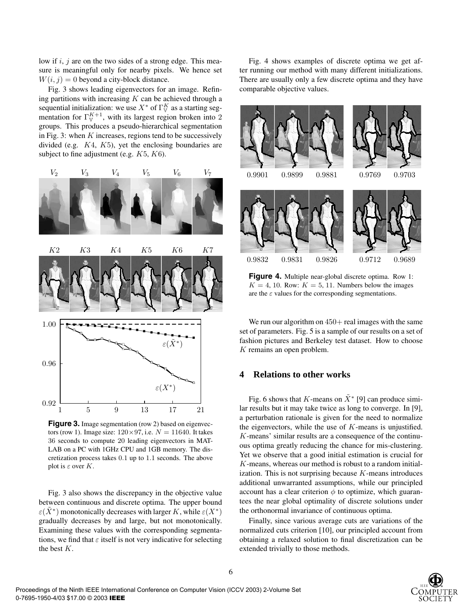low if  $i, j$  are on the two sides of a strong edge. This measure is meaningful only for nearby pixels. We hence set  $W(i, j) = 0$  beyond a city-block distance.

Fig. 3 shows leading eigenvectors for an image. Refining partitions with increasing  $K$  can be achieved through a sequential initialization: we use  $X^*$  of  $\Gamma_{\mathbb{V}}^K$  as a starting segmentation for  $\Gamma_{V}^{K+1}$ , with its largest region broken into 2 groups. This produces a pseudo-hierarchical segmentation in Fig. 3: when  $K$  increases, regions tend to be successively divided (e.g.  $K4$ ,  $K5$ ), yet the enclosing boundaries are subject to fine adjustment (e.g.  $K5, K6$ ).



**Figure 3.** Image segmentation (row 2) based on eigenvectors (row 1). Image size:  $120 \times 97$ , i.e.  $N = 11640$ . It takes 36 seconds to compute 20 leading eigenvectors in MAT-LAB on a PC with 1GHz CPU and 1GB memory. The discretization process takes <sup>0</sup>.<sup>1</sup> up to <sup>1</sup>.<sup>1</sup> seconds. The above plot is  $\varepsilon$  over K.

Fig. 3 also shows the discrepancy in the objective value between continuous and discrete optima. The upper bound  $\varepsilon(X^*)$  monotonically decreases with larger K, while  $\varepsilon(X^*)$ gradually decreases by and large, but not monotonically. Examining these values with the corresponding segmentations, we find that  $\varepsilon$  itself is not very indicative for selecting the best K.

Fig. 4 shows examples of discrete optima we get after running our method with many different initializations. There are usually only a few discrete optima and they have comparable objective values.



Figure 4. Multiple near-global discrete optima. Row 1:  $K = 4, 10$ . Row:  $K = 5, 11$ . Numbers below the images are the  $\varepsilon$  values for the corresponding segmentations.

We run our algorithm on  $450+$  real images with the same set of parameters. Fig. 5 is a sample of our results on a set of fashion pictures and Berkeley test dataset. How to choose  $K$  remains an open problem.

# **4 Relations to other works**

Fig. 6 shows that K-means on  $\tilde{X}^*$  [9] can produce similar results but it may take twice as long to converge. In [9], a perturbation rationale is given for the need to normalize the eigenvectors, while the use of  $K$ -means is unjustified. K-means' similar results are a consequence of the continuous optima greatly reducing the chance for mis-clustering. Yet we observe that a good initial estimation is crucial for K-means, whereas our method is robust to a random initialization. This is not surprising because  $K$ -means introduces additional unwarranted assumptions, while our principled account has a clear criterion  $\phi$  to optimize, which guarantees the near global optimality of discrete solutions under the orthonormal invariance of continuous optima.

Finally, since various average cuts are variations of the normalized cuts criterion [10], our principled account from obtaining a relaxed solution to final discretization can be extended trivially to those methods.